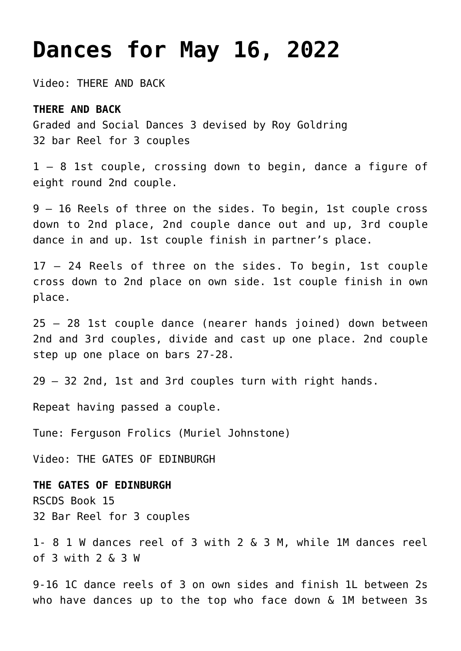# **[Dances for May 16, 2022](https://www.ottawadancescottish.org/?p=670)**

Video: [THERE AND BACK](https://youtu.be/vd6is53lfdQ)

### **THERE AND BACK**

Graded and Social Dances 3 devised by Roy Goldring 32 bar Reel for 3 couples

1 – 8 1st couple, crossing down to begin, dance a figure of eight round 2nd couple.

9 – 16 Reels of three on the sides. To begin, 1st couple cross down to 2nd place, 2nd couple dance out and up, 3rd couple dance in and up. 1st couple finish in partner's place.

17 – 24 Reels of three on the sides. To begin, 1st couple cross down to 2nd place on own side. 1st couple finish in own place.

25 – 28 1st couple dance (nearer hands joined) down between 2nd and 3rd couples, divide and cast up one place. 2nd couple step up one place on bars 27-28.

29 – 32 2nd, 1st and 3rd couples turn with right hands.

Repeat having passed a couple.

Tune: Ferguson Frolics (Muriel Johnstone)

Video[: THE GATES OF EDINBURGH](https://youtu.be/knVfGw7txvs)

**THE GATES OF EDINBURGH** RSCDS Book 15 32 Bar Reel for 3 couples

1- 8 1 W dances reel of 3 with 2 & 3 M, while 1M dances reel of 3 with 2 & 3 W

9-16 1C dance reels of 3 on own sides and finish 1L between 2s who have dances up to the top who face down & 1M between 3s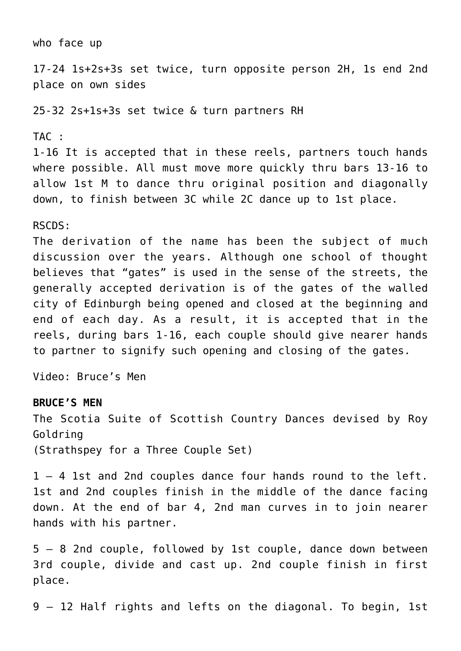## who face up 17-24 1s+2s+3s set twice, turn opposite person 2H, 1s end 2nd place on own sides 25-32 2s+1s+3s set twice & turn partners RH TAC : 1-16 It is accepted that in these reels, partners touch hands where possible. All must move more quickly thru bars 13-16 to allow 1st M to dance thru original position and diagonally down, to finish between 3C while 2C dance up to 1st place. RSCDS:

The derivation of the name has been the subject of much discussion over the years. Although one school of thought believes that "gates" is used in the sense of the streets, the generally accepted derivation is of the gates of the walled city of Edinburgh being opened and closed at the beginning and end of each day. As a result, it is accepted that in the reels, during bars 1-16, each couple should give nearer hands to partner to signify such opening and closing of the gates.

Video: [Bruce's Men](https://youtu.be/XqsivGyBGL0)

#### **BRUCE'S MEN**

The Scotia Suite of Scottish Country Dances devised by Roy Goldring (Strathspey for a Three Couple Set)

1 – 4 1st and 2nd couples dance four hands round to the left. 1st and 2nd couples finish in the middle of the dance facing down. At the end of bar 4, 2nd man curves in to join nearer hands with his partner.

5 – 8 2nd couple, followed by 1st couple, dance down between 3rd couple, divide and cast up. 2nd couple finish in first place.

9 – 12 Half rights and lefts on the diagonal. To begin, 1st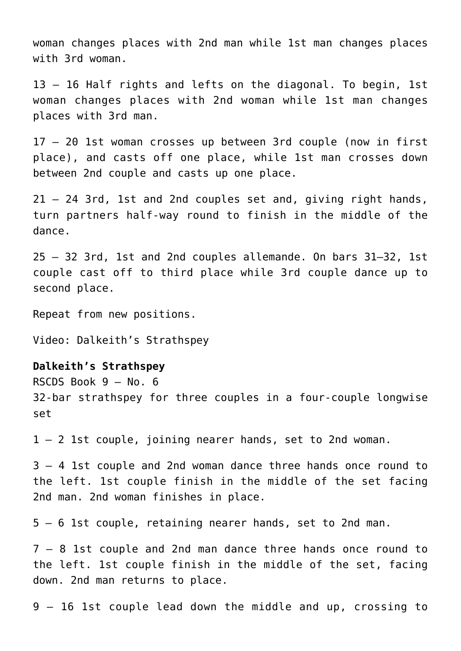woman changes places with 2nd man while 1st man changes places with 3rd woman.

13 – 16 Half rights and lefts on the diagonal. To begin, 1st woman changes places with 2nd woman while 1st man changes places with 3rd man.

17 – 20 1st woman crosses up between 3rd couple (now in first place), and casts off one place, while 1st man crosses down between 2nd couple and casts up one place.

21 – 24 3rd, 1st and 2nd couples set and, giving right hands, turn partners half-way round to finish in the middle of the dance.

25 – 32 3rd, 1st and 2nd couples allemande. On bars 31–32, 1st couple cast off to third place while 3rd couple dance up to second place.

Repeat from new positions.

Video: [Dalkeith's Strathspey](https://youtu.be/xt-AzpBCgMY)

### **Dalkeith's Strathspey**

RSCDS Book 9 – No. 6

32-bar strathspey for three couples in a four-couple longwise set

1 – 2 1st couple, joining nearer hands, set to 2nd woman.

3 – 4 1st couple and 2nd woman dance three hands once round to the left. 1st couple finish in the middle of the set facing 2nd man. 2nd woman finishes in place.

5 – 6 1st couple, retaining nearer hands, set to 2nd man.

7 – 8 1st couple and 2nd man dance three hands once round to the left. 1st couple finish in the middle of the set, facing down. 2nd man returns to place.

9 – 16 1st couple lead down the middle and up, crossing to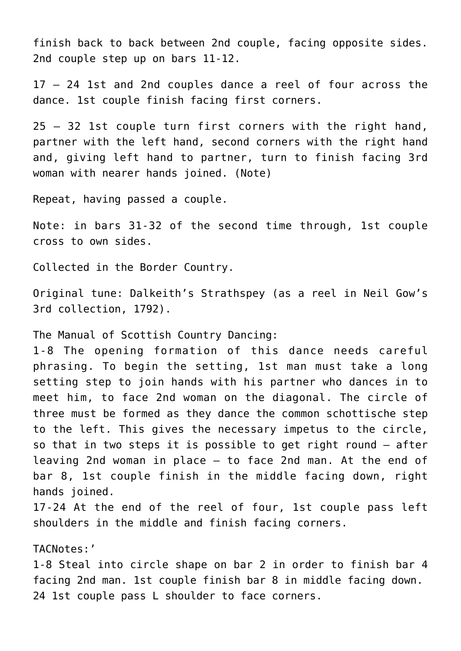finish back to back between 2nd couple, facing opposite sides. 2nd couple step up on bars 11-12.

17 – 24 1st and 2nd couples dance a reel of four across the dance. 1st couple finish facing first corners.

25 – 32 1st couple turn first corners with the right hand, partner with the left hand, second corners with the right hand and, giving left hand to partner, turn to finish facing 3rd woman with nearer hands joined. (Note)

Repeat, having passed a couple.

Note: in bars 31-32 of the second time through, 1st couple cross to own sides.

Collected in the Border Country.

Original tune: Dalkeith's Strathspey (as a reel in Neil Gow's 3rd collection, 1792).

The Manual of Scottish Country Dancing:

1-8 The opening formation of this dance needs careful phrasing. To begin the setting, 1st man must take a long setting step to join hands with his partner who dances in to meet him, to face 2nd woman on the diagonal. The circle of three must be formed as they dance the common schottische step to the left. This gives the necessary impetus to the circle, so that in two steps it is possible to get right round – after leaving 2nd woman in place – to face 2nd man. At the end of bar 8, 1st couple finish in the middle facing down, right hands joined.

17-24 At the end of the reel of four, 1st couple pass left shoulders in the middle and finish facing corners.

TACNotes:'

1-8 Steal into circle shape on bar 2 in order to finish bar 4 facing 2nd man. 1st couple finish bar 8 in middle facing down. 24 1st couple pass L shoulder to face corners.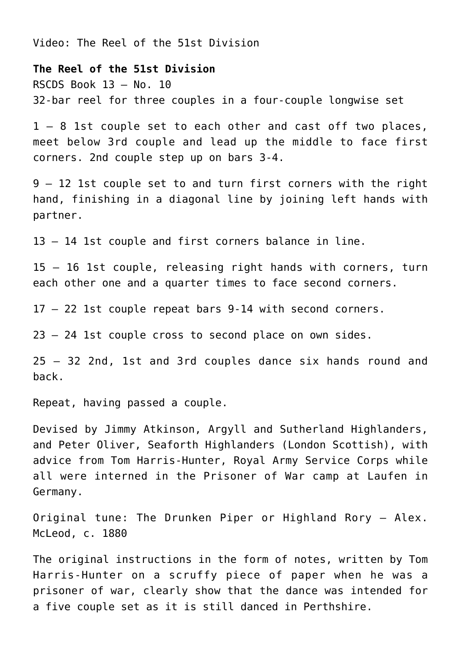Video: [The Reel of the 51st Division](https://youtu.be/4sZ-S1HAjUY)

**The Reel of the 51st Division**

RSCDS Book 13 – No. 10 32-bar reel for three couples in a four-couple longwise set

1 – 8 1st couple set to each other and cast off two places, meet below 3rd couple and lead up the middle to face first corners. 2nd couple step up on bars 3-4.

9 – 12 1st couple set to and turn first corners with the right hand, finishing in a diagonal line by joining left hands with partner.

13 – 14 1st couple and first corners balance in line.

15 – 16 1st couple, releasing right hands with corners, turn each other one and a quarter times to face second corners.

17 – 22 1st couple repeat bars 9-14 with second corners.

23 – 24 1st couple cross to second place on own sides.

25 – 32 2nd, 1st and 3rd couples dance six hands round and back.

Repeat, having passed a couple.

Devised by Jimmy Atkinson, Argyll and Sutherland Highlanders, and Peter Oliver, Seaforth Highlanders (London Scottish), with advice from Tom Harris-Hunter, Royal Army Service Corps while all were interned in the Prisoner of War camp at Laufen in Germany.

Original tune: The Drunken Piper or Highland Rory – Alex. McLeod, c. 1880

The original instructions in the form of notes, written by Tom Harris-Hunter on a scruffy piece of paper when he was a prisoner of war, clearly show that the dance was intended for a five couple set as it is still danced in Perthshire.